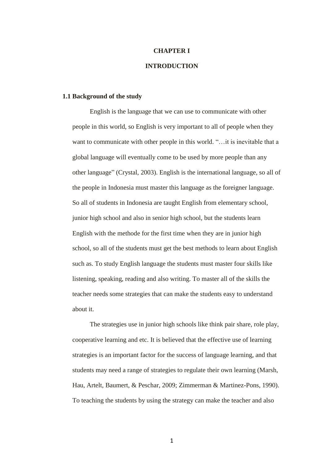# **CHAPTER I INTRODUCTION**

## **1.1 Background of the study**

English is the language that we can use to communicate with other people in this world, so English is very important to all of people when they want to communicate with other people in this world. "... it is inevitable that a global language will eventually come to be used by more people than any other language" (Crystal, 2003). English is the international language, so all of the people in Indonesia must master this language as the foreigner language. So all of students in Indonesia are taught English from elementary school, junior high school and also in senior high school, but the students learn English with the methode for the first time when they are in junior high school, so all of the students must get the best methods to learn about English such as. To study English language the students must master four skills like listening, speaking, reading and also writing. To master all of the skills the teacher needs some strategies that can make the students easy to understand about it.

The strategies use in junior high schools like think pair share, role play, cooperative learning and etc. It is believed that the effective use of learning strategies is an important factor for the success of language learning, and that students may need a range of strategies to regulate their own learning (Marsh, Hau, Artelt, Baumert, & Peschar, 2009; Zimmerman & Martinez-Pons, 1990). To teaching the students by using the strategy can make the teacher and also

1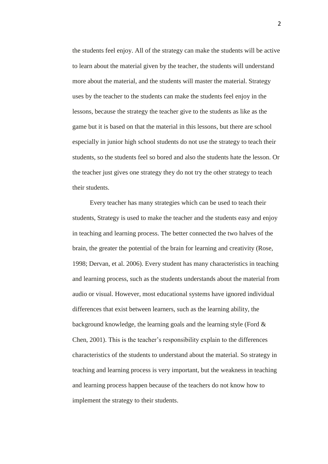the students feel enjoy. All of the strategy can make the students will be active to learn about the material given by the teacher, the students will understand more about the material, and the students will master the material. Strategy uses by the teacher to the students can make the students feel enjoy in the lessons, because the strategy the teacher give to the students as like as the game but it is based on that the material in this lessons, but there are school especially in junior high school students do not use the strategy to teach their students, so the students feel so bored and also the students hate the lesson. Or the teacher just gives one strategy they do not try the other strategy to teach their students.

Every teacher has many strategies which can be used to teach their students, Strategy is used to make the teacher and the students easy and enjoy in teaching and learning process. The better connected the two halves of the brain, the greater the potential of the brain for learning and creativity (Rose, 1998; Dervan, et al. 2006). Every student has many characteristics in teaching and learning process, such as the students understands about the material from audio or visual. However, most educational systems have ignored individual differences that exist between learners, such as the learning ability, the background knowledge, the learning goals and the learning style (Ford  $\&$ Chen, 2001). This is the teacher's responsibility explain to the differences characteristics of the students to understand about the material. So strategy in teaching and learning process is very important, but the weakness in teaching and learning process happen because of the teachers do not know how to implement the strategy to their students.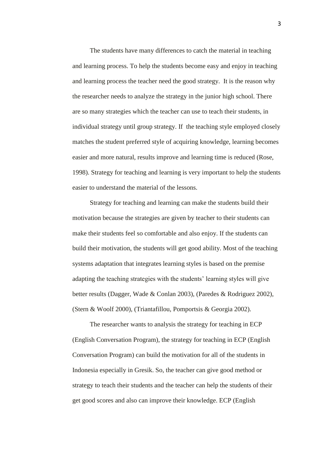The students have many differences to catch the material in teaching and learning process. To help the students become easy and enjoy in teaching and learning process the teacher need the good strategy. It is the reason why the researcher needs to analyze the strategy in the junior high school. There are so many strategies which the teacher can use to teach their students, in individual strategy until group strategy. If the teaching style employed closely matches the student preferred style of acquiring knowledge, learning becomes easier and more natural, results improve and learning time is reduced (Rose, 1998). Strategy for teaching and learning is very important to help the students easier to understand the material of the lessons.

Strategy for teaching and learning can make the students build their motivation because the strategies are given by teacher to their students can make their students feel so comfortable and also enjoy. If the students can build their motivation, the students will get good ability. Most of the teaching systems adaptation that integrates learning styles is based on the premise adapting the teaching strategies with the students' learning styles will give better results (Dagger, Wade & Conlan 2003), (Paredes & Rodriguez 2002), (Stern & Woolf 2000), (Triantafillou, Pomportsis & Georgia 2002).

The researcher wants to analysis the strategy for teaching in ECP (English Conversation Program), the strategy for teaching in ECP (English Conversation Program) can build the motivation for all of the students in Indonesia especially in Gresik. So, the teacher can give good method or strategy to teach their students and the teacher can help the students of their get good scores and also can improve their knowledge. ECP (English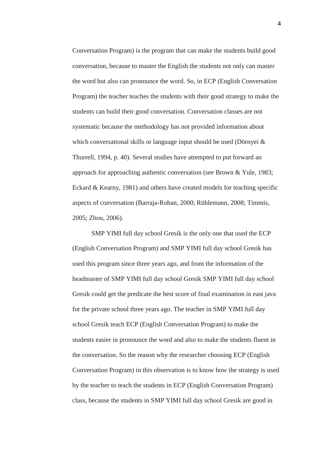Conversation Program) is the program that can make the students build good conversation, because to master the English the students not only can master the word but also can pronounce the word. So, in ECP (English Conversation Program) the teacher teaches the students with their good strategy to make the students can build their good conversation. Conversation classes are not systematic because the methodology has not provided information about which conversational skills or language input should be used (Dörnyei & Thurrell, 1994, p. 40). Several studies have attempted to put forward an approach for approaching authentic conversation (see Brown & Yule, 1983; Eckard & Kearny, 1981) and others have created models for teaching specific aspects of conversation (Barraja-Rohan, 2000; Rühlemann, 2008; Timmis, 2005; Zhou, 2006).

SMP YIMI full day school Gresik is the only one that used the ECP (English Conversation Program) and SMP YIMI full day school Gresik has used this program since three years ago, and from the information of the headmaster of SMP YIMI full day school Gresik SMP YIMI full day school Gresik could get the predicate the best score of final examination in east java for the private school three years ago. The teacher in SMP YIMI full day school Gresik teach ECP (English Conversation Program) to make the students easier in pronounce the word and also to make the students fluent in the conversation. So the reason why the researcher choosing ECP (English Conversation Program) in this observation is to know how the strategy is used by the teacher to teach the students in ECP (English Conversation Program) class, because the students in SMP YIMI full day school Gresik are good in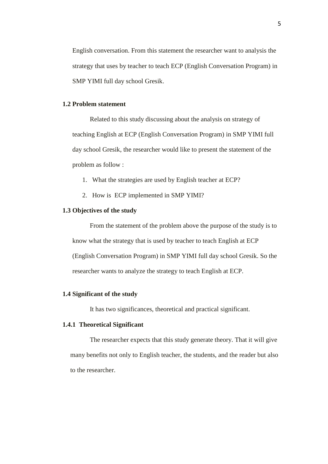English conversation. From this statement the researcher want to analysis the strategy that uses by teacher to teach ECP (English Conversation Program) in SMP YIMI full day school Gresik.

#### **1.2 Problem statement**

Related to this study discussing about the analysis on strategy of teaching English at ECP (English Conversation Program) in SMP YIMI full day school Gresik, the researcher would like to present the statement of the problem as follow :

- 1. What the strategies are used by English teacher at ECP?
- 2. How is ECP implemented in SMP YIMI?

## **1.3 Objectives of the study**

From the statement of the problem above the purpose of the study is to know what the strategy that is used by teacher to teach English at ECP (English Conversation Program) in SMP YIMI full day school Gresik. So the researcher wants to analyze the strategy to teach English at ECP.

#### **1.4 Significant of the study**

It has two significances, theoretical and practical significant.

# **1.4.1 Theoretical Significant**

The researcher expects that this study generate theory. That it will give many benefits not only to English teacher, the students, and the reader but also to the researcher.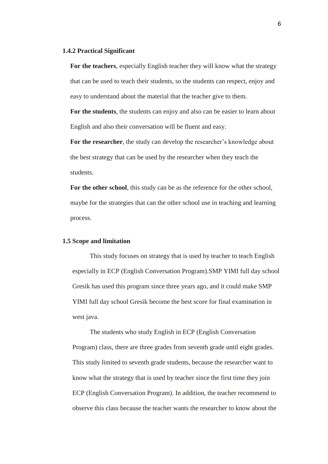#### **1.4.2 Practical Significant**

**For the teachers**, especially English teacher they will know what the strategy that can be used to teach their students, so the students can respect, enjoy and easy to understand about the material that the teacher give to them.

**For the students**, the students can enjoy and also can be easier to learn about English and also their conversation will be fluent and easy.

**For the researcher**, the study can develop the researcher's knowledge about the best strategy that can be used by the researcher when they teach the students.

**For the other school**, this study can be as the reference for the other school, maybe for the strategies that can the other school use in teaching and learning process.

#### **1.5 Scope and limitation**

This study focuses on strategy that is used by teacher to teach English especially in ECP (English Conversation Program).SMP YIMI full day school Gresik has used this program since three years ago, and it could make SMP YIMI full day school Gresik become the best score for final examination in west java.

The students who study English in ECP (English Conversation Program) class, there are three grades from seventh grade until eight grades. This study limited to seventh grade students, because the researcher want to know what the strategy that is used by teacher since the first time they join ECP (English Conversation Program). In addition, the teacher recommend to observe this class because the teacher wants the researcher to know about the